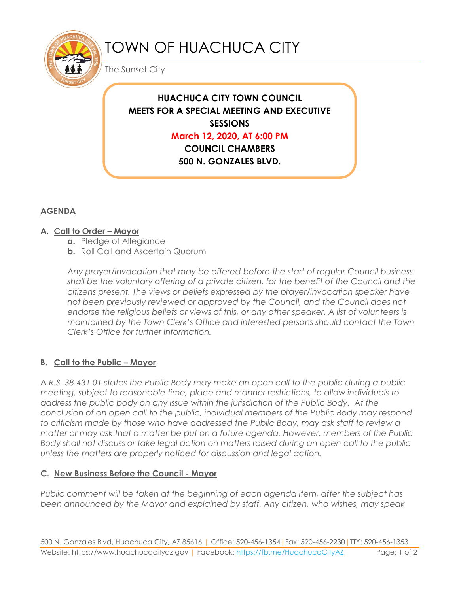

# TOWN OF HUACHUCA CITY

The Sunset City

# **HUACHUCA CITY TOWN COUNCIL MEETS FOR A SPECIAL MEETING AND EXECUTIVE SESSIONS**

## **March 12, 2020, AT 6:00 PM**

**COUNCIL CHAMBERS 500 N. GONZALES BLVD.** 

**HUACHUCA CITY, AZ 85616**

# **AGENDA**

### **A. Call to Order – Mayor**

- **a.** Pledge of Allegiance
- **b.** Roll Call and Ascertain Quorum

*Any prayer/invocation that may be offered before the start of regular Council business shall be the voluntary offering of a private citizen, for the benefit of the Council and the citizens present. The views or beliefs expressed by the prayer/invocation speaker have not been previously reviewed or approved by the Council, and the Council does not endorse the religious beliefs or views of this, or any other speaker. A list of volunteers is maintained by the Town Clerk's Office and interested persons should contact the Town Clerk's Office for further information.*

### **B. Call to the Public – Mayor**

*A.R.S. 38-431.01 states the Public Body may make an open call to the public during a public meeting, subject to reasonable time, place and manner restrictions, to allow individuals to address the public body on any issue within the jurisdiction of the Public Body. At the conclusion of an open call to the public, individual members of the Public Body may respond to criticism made by those who have addressed the Public Body, may ask staff to review a matter or may ask that a matter be put on a future agenda. However, members of the Public Body shall not discuss or take legal action on matters raised during an open call to the public unless the matters are properly noticed for discussion and legal action.*

#### **C. New Business Before the Council - Mayor**

*Public comment will be taken at the beginning of each agenda item, after the subject has been announced by the Mayor and explained by staff. Any citizen, who wishes, may speak*